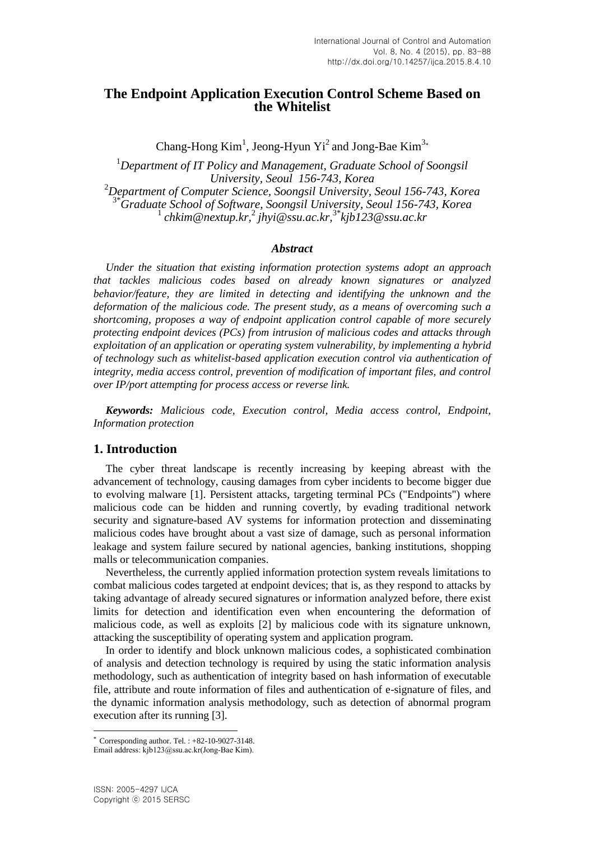# **The Endpoint Application Execution Control Scheme Based on the Whitelist**

Chang-Hong  $Kim<sup>1</sup>$ , Jeong-Hyun Yi<sup>2</sup> and Jong-Bae Kim<sup>3</sup>\*

<sup>1</sup>*Department of IT Policy and Management, Graduate School of Soongsil University, Seoul 156-743, Korea* <sup>2</sup>*Department of Computer Science, Soongsil University, Seoul 156-743, Korea* 3\**Graduate School of Software, Soongsil University, Seoul 156-743, Korea* 1 *chkim@nextup.kr,* 2 *jhyi@ssu.ac.kr,* 3\**kjb123@ssu.ac.kr*

#### *Abstract*

*Under the situation that existing information protection systems adopt an approach that tackles malicious codes based on already known signatures or analyzed behavior/feature, they are limited in detecting and identifying the unknown and the deformation of the malicious code. The present study, as a means of overcoming such a shortcoming, proposes a way of endpoint application control capable of more securely protecting endpoint devices (PCs) from intrusion of malicious codes and attacks through exploitation of an application or operating system vulnerability, by implementing a hybrid of technology such as whitelist-based application execution control via authentication of integrity, media access control, prevention of modification of important files, and control over IP/port attempting for process access or reverse link.*

*Keywords: Malicious code, Execution control, Media access control, Endpoint, Information protection*

### **1. Introduction**

The cyber threat landscape is recently increasing by keeping abreast with the advancement of technology, causing damages from cyber incidents to become bigger due to evolving malware [1]. Persistent attacks, targeting terminal PCs ("Endpoints") where malicious code can be hidden and running covertly, by evading traditional network security and signature-based AV systems for information protection and disseminating malicious codes have brought about a vast size of damage, such as personal information leakage and system failure secured by national agencies, banking institutions, shopping malls or telecommunication companies.

Nevertheless, the currently applied information protection system reveals limitations to combat malicious codes targeted at endpoint devices; that is, as they respond to attacks by taking advantage of already secured signatures or information analyzed before, there exist limits for detection and identification even when encountering the deformation of malicious code, as well as exploits [2] by malicious code with its signature unknown, attacking the susceptibility of operating system and application program.

In order to identify and block unknown malicious codes, a sophisticated combination of analysis and detection technology is required by using the static information analysis methodology, such as authentication of integrity based on hash information of executable file, attribute and route information of files and authentication of e-signature of files, and the dynamic information analysis methodology, such as detection of abnormal program execution after its running [3].

l

Corresponding author. Tel. :  $+82-10-9027-3148$ .

Email address: kjb123@ssu.ac.kr(Jong-Bae Kim).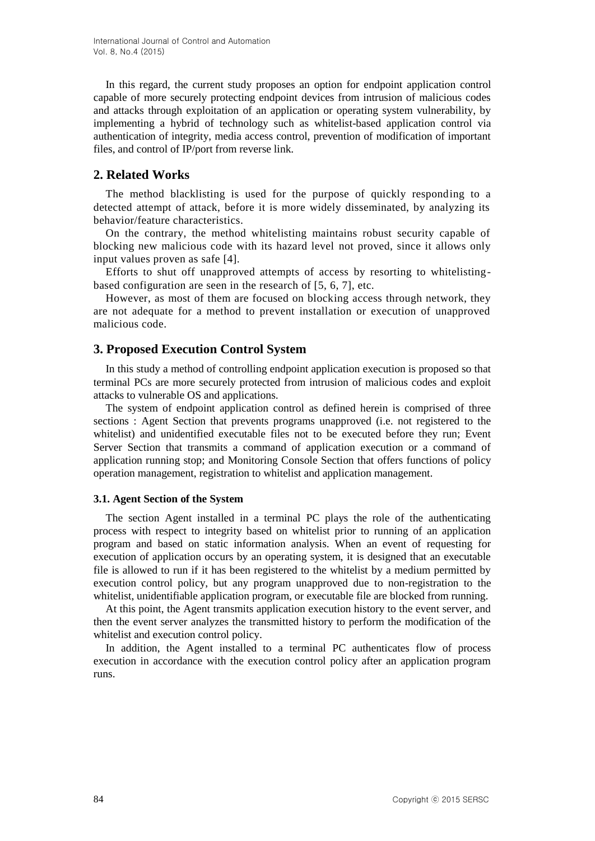In this regard, the current study proposes an option for endpoint application control capable of more securely protecting endpoint devices from intrusion of malicious codes and attacks through exploitation of an application or operating system vulnerability, by implementing a hybrid of technology such as whitelist-based application control via authentication of integrity, media access control, prevention of modification of important files, and control of IP/port from reverse link.

# **2. Related Works**

The method blacklisting is used for the purpose of quickly responding to a detected attempt of attack, before it is more widely disseminated, by analyzing its behavior/feature characteristics.

On the contrary, the method whitelisting maintains robust security capable of blocking new malicious code with its hazard level not proved, since it allows only input values proven as safe [4].

Efforts to shut off unapproved attempts of access by resorting to whitelistingbased configuration are seen in the research of [5, 6, 7], etc.

However, as most of them are focused on blocking access through network, they are not adequate for a method to prevent installation or execution of unapproved malicious code.

# **3. Proposed Execution Control System**

In this study a method of controlling endpoint application execution is proposed so that terminal PCs are more securely protected from intrusion of malicious codes and exploit attacks to vulnerable OS and applications.

The system of endpoint application control as defined herein is comprised of three sections : Agent Section that prevents programs unapproved (i.e. not registered to the whitelist) and unidentified executable files not to be executed before they run; Event Server Section that transmits a command of application execution or a command of application running stop; and Monitoring Console Section that offers functions of policy operation management, registration to whitelist and application management.

### **3.1. Agent Section of the System**

The section Agent installed in a terminal PC plays the role of the authenticating process with respect to integrity based on whitelist prior to running of an application program and based on static information analysis. When an event of requesting for execution of application occurs by an operating system, it is designed that an executable file is allowed to run if it has been registered to the whitelist by a medium permitted by execution control policy, but any program unapproved due to non-registration to the whitelist, unidentifiable application program, or executable file are blocked from running.

At this point, the Agent transmits application execution history to the event server, and then the event server analyzes the transmitted history to perform the modification of the whitelist and execution control policy.

In addition, the Agent installed to a terminal PC authenticates flow of process execution in accordance with the execution control policy after an application program runs.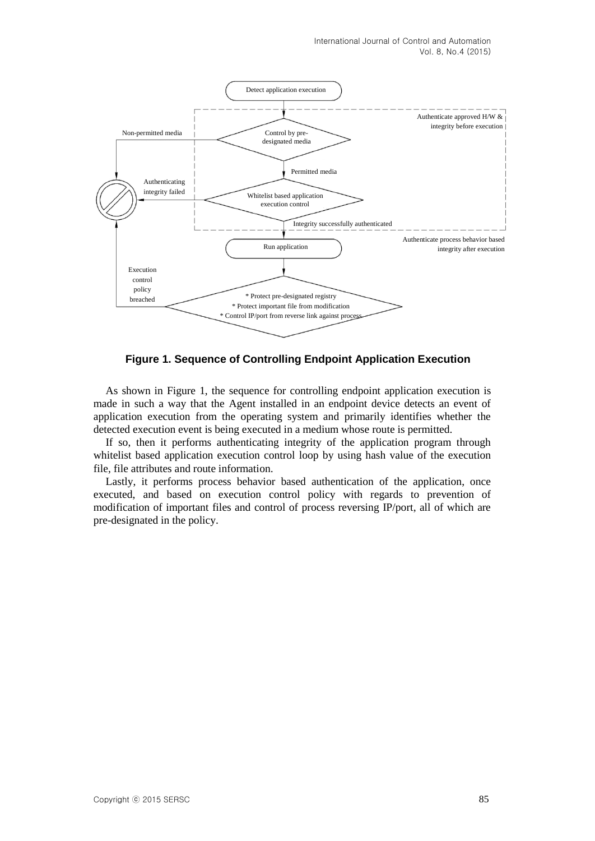

**Figure 1. Sequence of Controlling Endpoint Application Execution**

As shown in Figure 1, the sequence for controlling endpoint application execution is made in such a way that the Agent installed in an endpoint device detects an event of application execution from the operating system and primarily identifies whether the detected execution event is being executed in a medium whose route is permitted.

If so, then it performs authenticating integrity of the application program through whitelist based application execution control loop by using hash value of the execution file, file attributes and route information.

Lastly, it performs process behavior based authentication of the application, once executed, and based on execution control policy with regards to prevention of modification of important files and control of process reversing IP/port, all of which are pre-designated in the policy.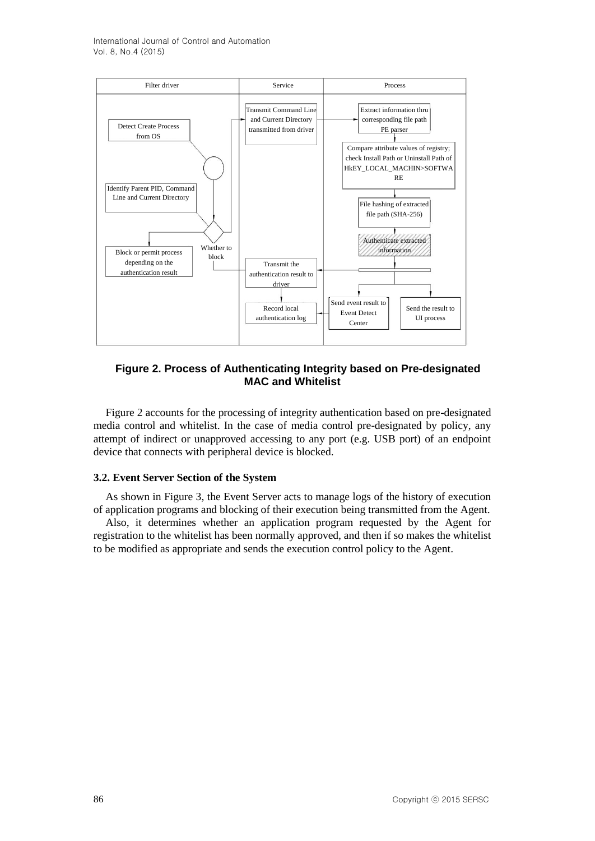International Journal of Control and Automation Vol. 8, No.4 (2015)



### **Figure 2. Process of Authenticating Integrity based on Pre-designated MAC and Whitelist**

Figure 2 accounts for the processing of integrity authentication based on pre-designated media control and whitelist. In the case of media control pre-designated by policy, any attempt of indirect or unapproved accessing to any port (e.g. USB port) of an endpoint device that connects with peripheral device is blocked.

### **3.2. Event Server Section of the System**

As shown in Figure 3, the Event Server acts to manage logs of the history of execution of application programs and blocking of their execution being transmitted from the Agent.

Also, it determines whether an application program requested by the Agent for registration to the whitelist has been normally approved, and then if so makes the whitelist to be modified as appropriate and sends the execution control policy to the Agent.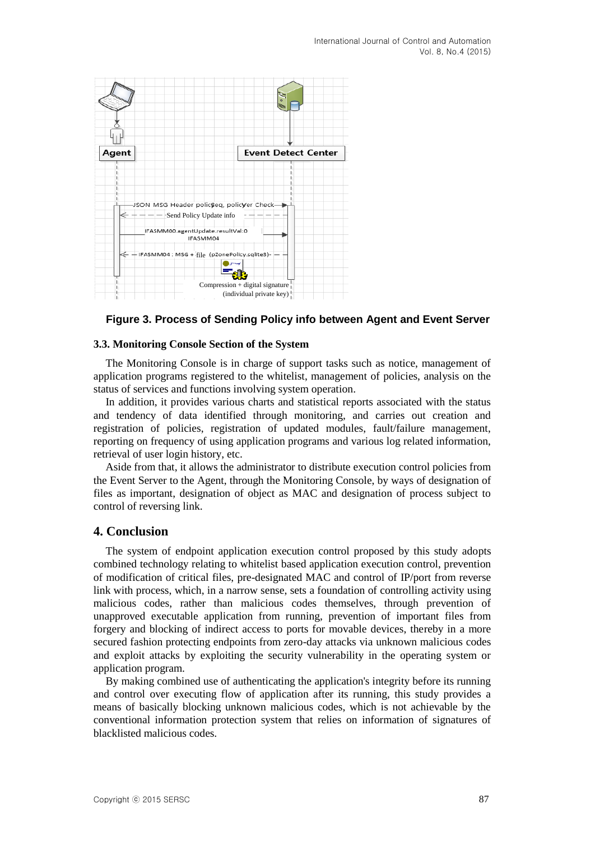

### **Figure 3. Process of Sending Policy info between Agent and Event Server**

### **3.3. Monitoring Console Section of the System**

The Monitoring Console is in charge of support tasks such as notice, management of application programs registered to the whitelist, management of policies, analysis on the status of services and functions involving system operation.

In addition, it provides various charts and statistical reports associated with the status and tendency of data identified through monitoring, and carries out creation and registration of policies, registration of updated modules, fault/failure management, reporting on frequency of using application programs and various log related information, retrieval of user login history, etc.

Aside from that, it allows the administrator to distribute execution control policies from the Event Server to the Agent, through the Monitoring Console, by ways of designation of files as important, designation of object as MAC and designation of process subject to control of reversing link.

### **4. Conclusion**

The system of endpoint application execution control proposed by this study adopts combined technology relating to whitelist based application execution control, prevention of modification of critical files, pre-designated MAC and control of IP/port from reverse link with process, which, in a narrow sense, sets a foundation of controlling activity using malicious codes, rather than malicious codes themselves, through prevention of unapproved executable application from running, prevention of important files from forgery and blocking of indirect access to ports for movable devices, thereby in a more secured fashion protecting endpoints from zero-day attacks via unknown malicious codes and exploit attacks by exploiting the security vulnerability in the operating system or application program.

By making combined use of authenticating the application's integrity before its running and control over executing flow of application after its running, this study provides a means of basically blocking unknown malicious codes, which is not achievable by the conventional information protection system that relies on information of signatures of blacklisted malicious codes.